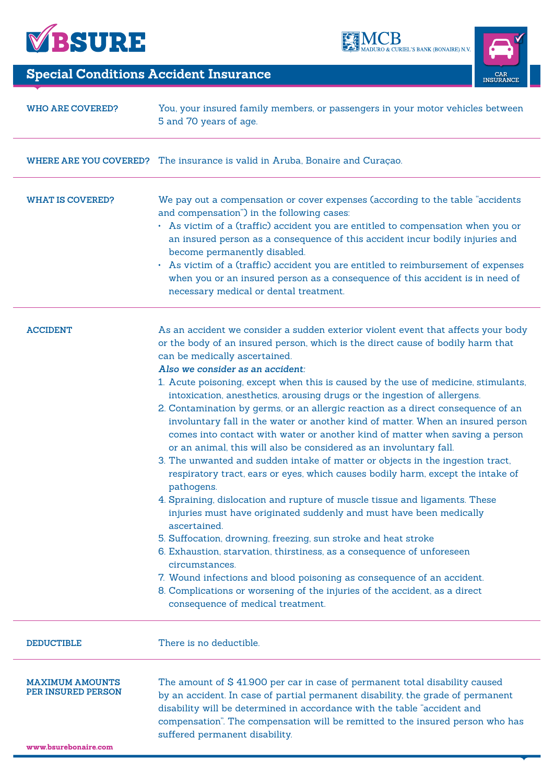





## **Special Conditions Accident Insurance**

| <b>WHO ARE COVERED?</b>                             | You, your insured family members, or passengers in your motor vehicles between<br>5 and 70 years of age.                                                                                                                                                                                                                                                                                                                                                                                                                                                                                                                                                                                                                                                                                                                                                                                                                                                                                                                                                                                                                                                                                                                                                                                                                                                                                                                                                     |
|-----------------------------------------------------|--------------------------------------------------------------------------------------------------------------------------------------------------------------------------------------------------------------------------------------------------------------------------------------------------------------------------------------------------------------------------------------------------------------------------------------------------------------------------------------------------------------------------------------------------------------------------------------------------------------------------------------------------------------------------------------------------------------------------------------------------------------------------------------------------------------------------------------------------------------------------------------------------------------------------------------------------------------------------------------------------------------------------------------------------------------------------------------------------------------------------------------------------------------------------------------------------------------------------------------------------------------------------------------------------------------------------------------------------------------------------------------------------------------------------------------------------------------|
|                                                     | WHERE ARE YOU COVERED? The insurance is valid in Aruba, Bonaire and Curaçao.                                                                                                                                                                                                                                                                                                                                                                                                                                                                                                                                                                                                                                                                                                                                                                                                                                                                                                                                                                                                                                                                                                                                                                                                                                                                                                                                                                                 |
| <b>WHAT IS COVERED?</b>                             | We pay out a compensation or cover expenses (according to the table "accidents<br>and compensation") in the following cases:<br>• As victim of a (traffic) accident you are entitled to compensation when you or<br>an insured person as a consequence of this accident incur bodily injuries and<br>become permanently disabled.<br>• As victim of a (traffic) accident you are entitled to reimbursement of expenses<br>when you or an insured person as a consequence of this accident is in need of<br>necessary medical or dental treatment.                                                                                                                                                                                                                                                                                                                                                                                                                                                                                                                                                                                                                                                                                                                                                                                                                                                                                                            |
| <b>ACCIDENT</b>                                     | As an accident we consider a sudden exterior violent event that affects your body<br>or the body of an insured person, which is the direct cause of bodily harm that<br>can be medically ascertained.<br>Also we consider as an accident:<br>1. Acute poisoning, except when this is caused by the use of medicine, stimulants,<br>intoxication, anesthetics, arousing drugs or the ingestion of allergens.<br>2. Contamination by germs, or an allergic reaction as a direct consequence of an<br>involuntary fall in the water or another kind of matter. When an insured person<br>comes into contact with water or another kind of matter when saving a person<br>or an animal, this will also be considered as an involuntary fall.<br>3. The unwanted and sudden intake of matter or objects in the ingestion tract,<br>respiratory tract, ears or eyes, which causes bodily harm, except the intake of<br>pathogens.<br>4. Spraining, dislocation and rupture of muscle tissue and ligaments. These<br>injuries must have originated suddenly and must have been medically<br>ascertained.<br>5. Suffocation, drowning, freezing, sun stroke and heat stroke<br>6. Exhaustion, starvation, thirstiness, as a consequence of unforeseen<br>circumstances.<br>7. Wound infections and blood poisoning as consequence of an accident.<br>8. Complications or worsening of the injuries of the accident, as a direct<br>consequence of medical treatment. |
| <b>DEDUCTIBLE</b>                                   | There is no deductible.                                                                                                                                                                                                                                                                                                                                                                                                                                                                                                                                                                                                                                                                                                                                                                                                                                                                                                                                                                                                                                                                                                                                                                                                                                                                                                                                                                                                                                      |
| <b>MAXIMUM AMOUNTS</b><br><b>PER INSURED PERSON</b> | The amount of \$41.900 per car in case of permanent total disability caused<br>by an accident. In case of partial permanent disability, the grade of permanent<br>disability will be determined in accordance with the table "accident and<br>compensation". The compensation will be remitted to the insured person who has<br>suffered permanent disability.                                                                                                                                                                                                                                                                                                                                                                                                                                                                                                                                                                                                                                                                                                                                                                                                                                                                                                                                                                                                                                                                                               |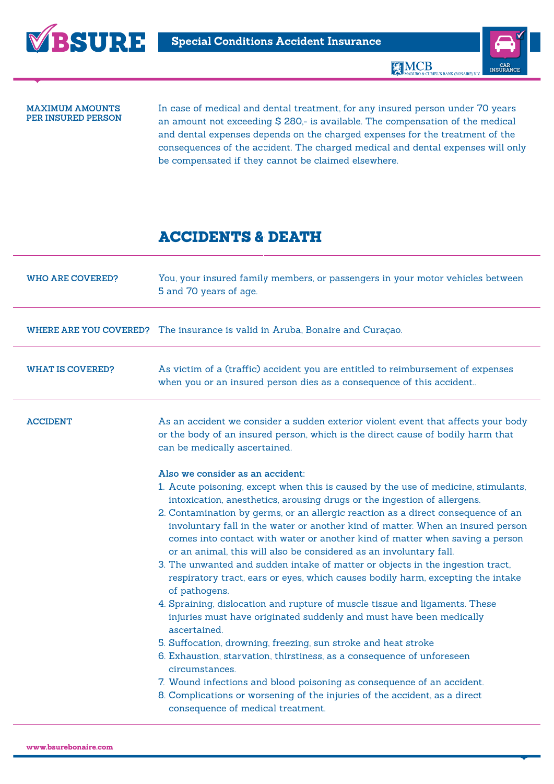



MCB MOURO & CURIEL'S BANK (BONAIRE)

## **Maximum amounts per insured person**

In case of medical and dental treatment, for any insured person under 70 years an amount not exceeding \$ 280,- is available. The compensation of the medical and dental expenses depends on the charged expenses for the treatment of the consequences of the accident. The charged medical and dental expenses will only be compensated if they cannot be claimed elsewhere.

## Accidents & Death

| <b>WHO ARE COVERED?</b> | You, your insured family members, or passengers in your motor vehicles between<br>5 and 70 years of age.                                                                                                                                                                                                                                                                                                                                                                                                                                                                                                                                                                                                                                                                                                                                                                                                                                                                                                                                                                                                                                                                                                                                               |
|-------------------------|--------------------------------------------------------------------------------------------------------------------------------------------------------------------------------------------------------------------------------------------------------------------------------------------------------------------------------------------------------------------------------------------------------------------------------------------------------------------------------------------------------------------------------------------------------------------------------------------------------------------------------------------------------------------------------------------------------------------------------------------------------------------------------------------------------------------------------------------------------------------------------------------------------------------------------------------------------------------------------------------------------------------------------------------------------------------------------------------------------------------------------------------------------------------------------------------------------------------------------------------------------|
|                         | WHERE ARE YOU COVERED? The insurance is valid in Aruba, Bonaire and Curaçao.                                                                                                                                                                                                                                                                                                                                                                                                                                                                                                                                                                                                                                                                                                                                                                                                                                                                                                                                                                                                                                                                                                                                                                           |
| <b>WHAT IS COVERED?</b> | As victim of a (traffic) accident you are entitled to reimbursement of expenses<br>when you or an insured person dies as a consequence of this accident                                                                                                                                                                                                                                                                                                                                                                                                                                                                                                                                                                                                                                                                                                                                                                                                                                                                                                                                                                                                                                                                                                |
| <b>ACCIDENT</b>         | As an accident we consider a sudden exterior violent event that affects your body<br>or the body of an insured person, which is the direct cause of bodily harm that<br>can be medically ascertained.                                                                                                                                                                                                                                                                                                                                                                                                                                                                                                                                                                                                                                                                                                                                                                                                                                                                                                                                                                                                                                                  |
|                         | Also we consider as an accident:<br>1. Acute poisoning, except when this is caused by the use of medicine, stimulants,<br>intoxication, anesthetics, arousing drugs or the ingestion of allergens.<br>2. Contamination by germs, or an allergic reaction as a direct consequence of an<br>involuntary fall in the water or another kind of matter. When an insured person<br>comes into contact with water or another kind of matter when saving a person<br>or an animal, this will also be considered as an involuntary fall.<br>3. The unwanted and sudden intake of matter or objects in the ingestion tract,<br>respiratory tract, ears or eyes, which causes bodily harm, excepting the intake<br>of pathogens.<br>4. Spraining, dislocation and rupture of muscle tissue and ligaments. These<br>injuries must have originated suddenly and must have been medically<br>ascertained.<br>5. Suffocation, drowning, freezing, sun stroke and heat stroke<br>6. Exhaustion, starvation, thirstiness, as a consequence of unforeseen<br>circumstances.<br>7. Wound infections and blood poisoning as consequence of an accident.<br>8. Complications or worsening of the injuries of the accident, as a direct<br>consequence of medical treatment. |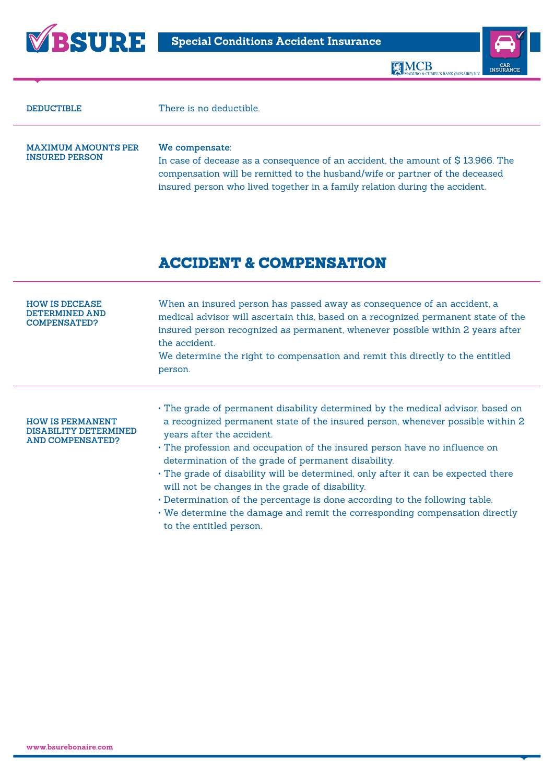





| <b>DEDUCTIBLE</b>                                   | There is no deductible.                                                                                                                                                                                                                                          |
|-----------------------------------------------------|------------------------------------------------------------------------------------------------------------------------------------------------------------------------------------------------------------------------------------------------------------------|
| <b>MAXIMUM AMOUNTS PER</b><br><b>INSURED PERSON</b> | We compensate:<br>In case of decease as a consequence of an accident, the amount of \$13.966. The<br>compensation will be remitted to the husband/wife or partner of the deceased<br>insured person who lived together in a family relation during the accident. |

## Accident & Compensation

| <b>HOW IS DECEASE</b><br>DETERMINED AND<br><b>COMPENSATED?</b>              | When an insured person has passed away as consequence of an accident, a<br>medical advisor will ascertain this, based on a recognized permanent state of the<br>insured person recognized as permanent, whenever possible within 2 years after<br>the accident.<br>We determine the right to compensation and remit this directly to the entitled<br>person.                                                                                                                                                                                                                                                                                                         |
|-----------------------------------------------------------------------------|----------------------------------------------------------------------------------------------------------------------------------------------------------------------------------------------------------------------------------------------------------------------------------------------------------------------------------------------------------------------------------------------------------------------------------------------------------------------------------------------------------------------------------------------------------------------------------------------------------------------------------------------------------------------|
| <b>HOW IS PERMANENT</b><br>DISABILITY DETERMINED<br><b>AND COMPENSATED?</b> | • The grade of permanent disability determined by the medical advisor, based on<br>a recognized permanent state of the insured person, whenever possible within 2<br>years after the accident.<br>• The profession and occupation of the insured person have no influence on<br>determination of the grade of permanent disability.<br>• The grade of disability will be determined, only after it can be expected there<br>will not be changes in the grade of disability.<br>. Determination of the percentage is done according to the following table.<br>• We determine the damage and remit the corresponding compensation directly<br>to the entitled person. |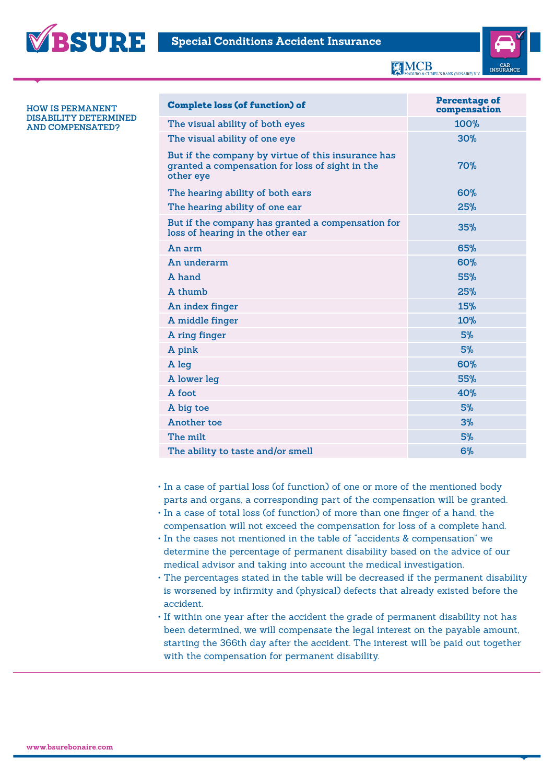



**KIMCB** 



**How is permanent disability determined and compensated?**

| <b>Complete loss (of function) of</b>                                                                              | <b>Percentage of</b><br>compensation |
|--------------------------------------------------------------------------------------------------------------------|--------------------------------------|
| The visual ability of both eyes                                                                                    | 100%                                 |
| The visual ability of one eye                                                                                      | 30%                                  |
| But if the company by virtue of this insurance has<br>granted a compensation for loss of sight in the<br>other eye | 70%                                  |
| The hearing ability of both ears                                                                                   | 60%                                  |
| The hearing ability of one ear                                                                                     | 25%                                  |
| But if the company has granted a compensation for<br>loss of hearing in the other ear                              | 35%                                  |
| An arm                                                                                                             | 65%                                  |
| An underarm                                                                                                        | 60%                                  |
| A hand                                                                                                             | 55%                                  |
| A thumb                                                                                                            | 25%                                  |
| An index finger                                                                                                    | 15%                                  |
| A middle finger                                                                                                    | 10%                                  |
| A ring finger                                                                                                      | 5%                                   |
| A pink                                                                                                             | 5%                                   |
| A leg                                                                                                              | 60%                                  |
| A lower leg                                                                                                        | 55%                                  |
| A foot                                                                                                             | 40%                                  |
| A big toe                                                                                                          | 5%                                   |
| Another toe                                                                                                        | 3%                                   |
| The milt                                                                                                           | 5%                                   |
| The ability to taste and/or smell                                                                                  | 6%                                   |

- • In a case of partial loss (of function) of one or more of the mentioned body parts and organs, a corresponding part of the compensation will be granted.
- • In a case of total loss (of function) of more than one finger of a hand, the compensation will not exceed the compensation for loss of a complete hand.
- • In the cases not mentioned in the table of "accidents & compensation" we determine the percentage of permanent disability based on the advice of our medical advisor and taking into account the medical investigation.
- The percentages stated in the table will be decreased if the permanent disability is worsened by infirmity and (physical) defects that already existed before the accident.
- • If within one year after the accident the grade of permanent disability not has been determined, we will compensate the legal interest on the payable amount, starting the 366th day after the accident. The interest will be paid out together with the compensation for permanent disability.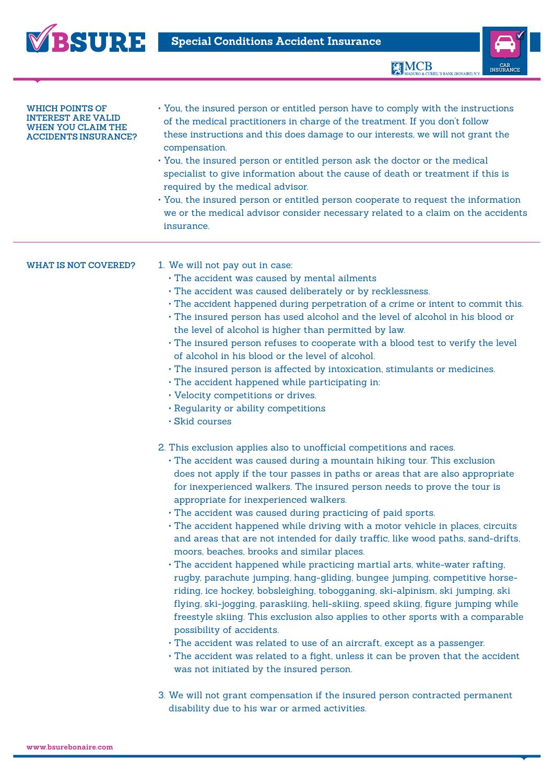



| <b>WHICH POINTS OF</b><br>TEREST ARE VALID<br>WHEN YOU CLAIM THE<br><b>ACCIDENTS INSURANCE?</b> | · You, the insured person or entitled person have to comply with the instructions<br>of the medical practitioners in charge of the treatment. If you don't follow<br>these instructions and this does damage to our interests, we will not grant the<br>compensation.<br>• You, the insured person or entitled person ask the doctor or the medical<br>specialist to give information about the cause of death or treatment if this is<br>required by the medical advisor.<br>• You, the insured person or entitled person cooperate to request the information<br>we or the medical advisor consider necessary related to a claim on the accidents<br>insurance.                                                                                                                                                                                                                                                                                                                                                                                                                                                                                                                                                                                                                                                                                                                                                                         |
|-------------------------------------------------------------------------------------------------|-------------------------------------------------------------------------------------------------------------------------------------------------------------------------------------------------------------------------------------------------------------------------------------------------------------------------------------------------------------------------------------------------------------------------------------------------------------------------------------------------------------------------------------------------------------------------------------------------------------------------------------------------------------------------------------------------------------------------------------------------------------------------------------------------------------------------------------------------------------------------------------------------------------------------------------------------------------------------------------------------------------------------------------------------------------------------------------------------------------------------------------------------------------------------------------------------------------------------------------------------------------------------------------------------------------------------------------------------------------------------------------------------------------------------------------------|
| WHAT IS NOT COVERED?                                                                            | 1. We will not pay out in case:<br>· The accident was caused by mental ailments<br>· The accident was caused deliberately or by recklessness.<br>· The accident happened during perpetration of a crime or intent to commit this.<br>· The insured person has used alcohol and the level of alcohol in his blood or<br>the level of alcohol is higher than permitted by law.<br>. The insured person refuses to cooperate with a blood test to verify the level<br>of alcohol in his blood or the level of alcohol.<br>· The insured person is affected by intoxication, stimulants or medicines.<br>. The accident happened while participating in:<br>• Velocity competitions or drives.<br>. Regularity or ability competitions<br>· Skid courses                                                                                                                                                                                                                                                                                                                                                                                                                                                                                                                                                                                                                                                                                      |
|                                                                                                 | 2. This exclusion applies also to unofficial competitions and races.<br>• The accident was caused during a mountain hiking tour. This exclusion<br>does not apply if the tour passes in paths or areas that are also appropriate<br>for inexperienced walkers. The insured person needs to prove the tour is<br>appropriate for inexperienced walkers.<br>· The accident was caused during practicing of paid sports.<br>· The accident happened while driving with a motor vehicle in places, circuits<br>and areas that are not intended for daily traffic, like wood paths, sand-drifts,<br>moors, beaches, brooks and similar places.<br>· The accident happened while practicing martial arts, white-water rafting,<br>rugby, parachute jumping, hang-gliding, bungee jumping, competitive horse-<br>riding, ice hockey, bobsleighing, tobogganing, ski-alpinism, ski jumping, ski<br>flying, ski-jogging, paraskiing, heli-skiing, speed skiing, figure jumping while<br>freestyle skiing. This exclusion also applies to other sports with a comparable<br>possibility of accidents.<br>· The accident was related to use of an aircraft, except as a passenger.<br>· The accident was related to a fight, unless it can be proven that the accident<br>was not initiated by the insured person.<br>3. We will not grant compensation if the insured person contracted permanent<br>disability due to his war or armed activities. |